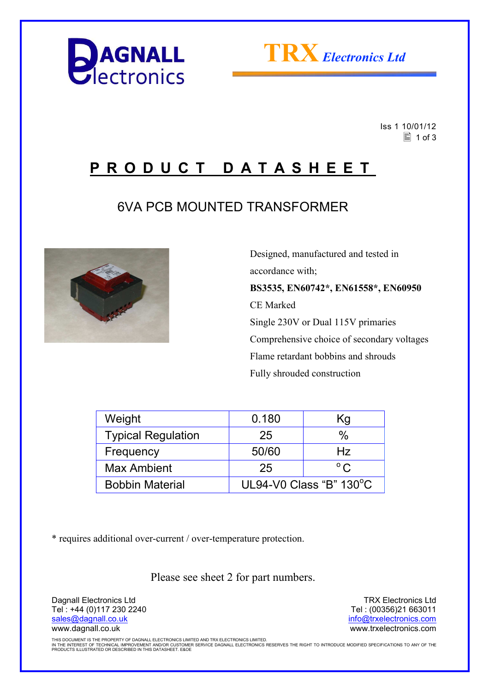



 Iss 1 10/01/12  $\equiv$  1 of 3

# **P R O D U C T D A T A S H E E T**

## 6VA PCB MOUNTED TRANSFORMER



 Designed, manufactured and tested in accordance with; **BS3535, EN60742\*, EN61558\*, EN60950**  CE Marked Single 230V or Dual 115V primaries Comprehensive choice of secondary voltages Flame retardant bobbins and shrouds Fully shrouded construction

| Weight                    | 0.180                             | Κg           |  |
|---------------------------|-----------------------------------|--------------|--|
| <b>Typical Regulation</b> | 25                                | $\%$         |  |
| Frequency                 | 50/60                             | Hz           |  |
| <b>Max Ambient</b>        | 25                                | $^{\circ}$ C |  |
| <b>Bobbin Material</b>    | UL94-V0 Class "B" $130^{\circ}$ C |              |  |

\* requires additional over-current / over-temperature protection.

Please see sheet 2 for part numbers.

Dagnall Electronics Ltd Tel : +44 (0)117 230 2240 sales@dagnall.co.uk www.dagnall.co.uk

TRX Electronics Ltd Tel : (00356)21 663011 info@trxelectronics.com www.trxelectronics.com

THIS DOCUMENT IS THE PROPERTY OF DAGNALL ELECTRONICS LIMITED AND TRX ELECTRONICS LIMITED.<br>IN THE INTEREST OF TECHNICAL IMPROVEMENT AND/OR CUSTOMER SERVICE DAGNALL ELECTRONICS RESERVES THE RIGHT TO INTRODUCE MODIFIED SPECIF PRODUCTS ILLUSTRATED OR DESCRIBED IN THIS DATASHEET. E&OE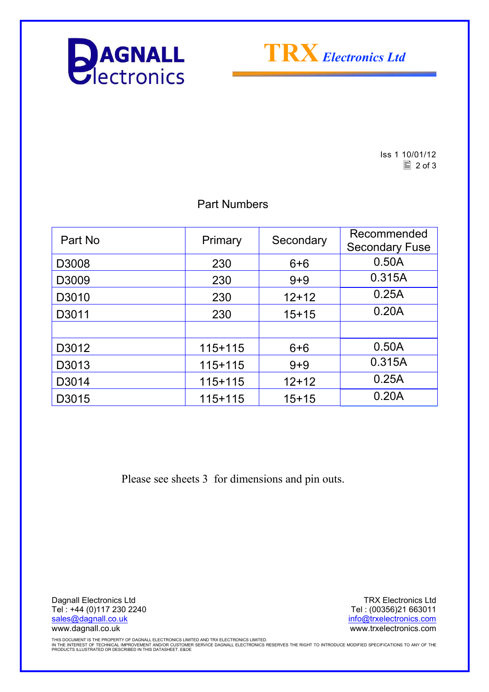



Iss 1 10/01/12  $\boxed{2}$  of 3

### Part Numbers

| Part No | Primary   | Secondary | Recommended<br><b>Secondary Fuse</b> |
|---------|-----------|-----------|--------------------------------------|
| D3008   | 230       | $6 + 6$   | 0.50A                                |
| D3009   | 230       | $9 + 9$   | 0.315A                               |
| D3010   | 230       | $12+12$   | 0.25A                                |
| D3011   | 230       | $15+15$   | 0.20A                                |
|         |           |           |                                      |
| D3012   | $115+115$ | $6 + 6$   | 0.50A                                |
| D3013   | $115+115$ | $9 + 9$   | 0.315A                               |
| D3014   | 115+115   | $12+12$   | 0.25A                                |
| D3015   | 115+115   | $15+15$   | 0.20A                                |

Please see sheets 3 for dimensions and pin outs.

Dagnall Electronics Ltd Tel : +44 (0)117 230 2240 sales@dagnall.co.uk www.dagnall.co.uk

TRX Electronics Ltd Tel : (00356)21 663011 info@trxelectronics.com www.trxelectronics.com

THIS DOCUMENT IS THE PROPERTY OF DAGNALL ELECTRONICS LIMITED AND TRX ELECTRONICS LIMITED.<br>IN THE INTEREST OF TECHNICAL IMPROVEMENT AND/OR CUSTOMER SERVICE DAGNALL ELECTRONICS RESERVES THE RIGHT TO INTRODUCE MODIFIED SPECIF